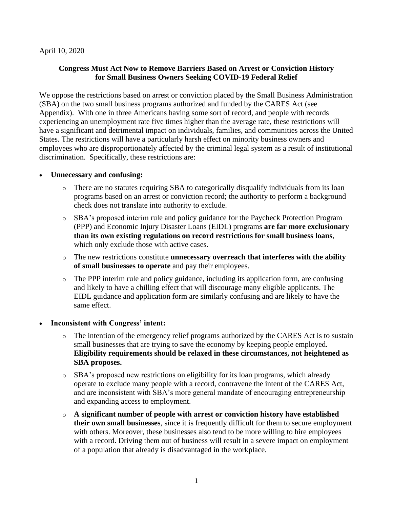### April 10, 2020

## **Congress Must Act Now to Remove Barriers Based on Arrest or Conviction History for Small Business Owners Seeking COVID-19 Federal Relief**

We oppose the restrictions based on arrest or conviction placed by the Small Business Administration (SBA) on the two small business programs authorized and funded by the CARES Act (see Appendix). With one in three Americans having some sort of record, and people with records experiencing an unemployment rate five times higher than the average rate, these restrictions will have a significant and detrimental impact on individuals, families, and communities across the United States. The restrictions will have a particularly harsh effect on minority business owners and employees who are disproportionately affected by the criminal legal system as a result of institutional discrimination. Specifically, these restrictions are:

### • **Unnecessary and confusing:**

- There are no statutes requiring SBA to categorically disqualify individuals from its loan programs based on an arrest or conviction record; the authority to perform a background check does not translate into authority to exclude.
- o SBA's proposed interim rule and policy guidance for the Paycheck Protection Program (PPP) and Economic Injury Disaster Loans (EIDL) programs **are far more exclusionary than its own existing regulations on record restrictions for small business loans**, which only exclude those with active cases.
- o The new restrictions constitute **unnecessary overreach that interferes with the ability of small businesses to operate** and pay their employees.
- o The PPP interim rule and policy guidance, including its application form, are confusing and likely to have a chilling effect that will discourage many eligible applicants. The EIDL guidance and application form are similarly confusing and are likely to have the same effect.

#### • **Inconsistent with Congress' intent:**

- $\circ$  The intention of the emergency relief programs authorized by the CARES Act is to sustain small businesses that are trying to save the economy by keeping people employed. **Eligibility requirements should be relaxed in these circumstances, not heightened as SBA proposes.**
- o SBA's proposed new restrictions on eligibility for its loan programs, which already operate to exclude many people with a record, contravene the intent of the CARES Act, and are inconsistent with SBA's more general mandate of encouraging entrepreneurship and expanding access to employment.
- o **A significant number of people with arrest or conviction history have established their own small businesses**, since it is frequently difficult for them to secure employment with others. Moreover, these businesses also tend to be more willing to hire employees with a record. Driving them out of business will result in a severe impact on employment of a population that already is disadvantaged in the workplace.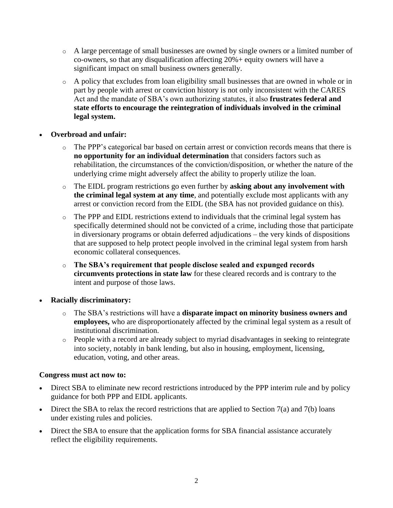- o A large percentage of small businesses are owned by single owners or a limited number of co-owners, so that any disqualification affecting 20%+ equity owners will have a significant impact on small business owners generally.
- o A policy that excludes from loan eligibility small businesses that are owned in whole or in part by people with arrest or conviction history is not only inconsistent with the CARES Act and the mandate of SBA's own authorizing statutes, it also **frustrates federal and state efforts to encourage the reintegration of individuals involved in the criminal legal system.**

# • **Overbroad and unfair:**

- The PPP's categorical bar based on certain arrest or conviction records means that there is **no opportunity for an individual determination** that considers factors such as rehabilitation, the circumstances of the conviction/disposition, or whether the nature of the underlying crime might adversely affect the ability to properly utilize the loan.
- o The EIDL program restrictions go even further by **asking about any involvement with the criminal legal system at any time**, and potentially exclude most applicants with any arrest or conviction record from the EIDL (the SBA has not provided guidance on this).
- o The PPP and EIDL restrictions extend to individuals that the criminal legal system has specifically determined should not be convicted of a crime, including those that participate in diversionary programs or obtain deferred adjudications – the very kinds of dispositions that are supposed to help protect people involved in the criminal legal system from harsh economic collateral consequences.
- o **The SBA's requirement that people disclose sealed and expunged records circumvents protections in state law** for these cleared records and is contrary to the intent and purpose of those laws.
- **Racially discriminatory:**
	- o The SBA's restrictions will have a **disparate impact on minority business owners and employees,** who are disproportionately affected by the criminal legal system as a result of institutional discrimination.
	- o People with a record are already subject to myriad disadvantages in seeking to reintegrate into society, notably in bank lending, but also in housing, employment, licensing, education, voting, and other areas.

# **Congress must act now to:**

- Direct SBA to eliminate new record restrictions introduced by the PPP interim rule and by policy guidance for both PPP and EIDL applicants.
- Direct the SBA to relax the record restrictions that are applied to Section  $7(a)$  and  $7(b)$  loans under existing rules and policies.
- Direct the SBA to ensure that the application forms for SBA financial assistance accurately reflect the eligibility requirements.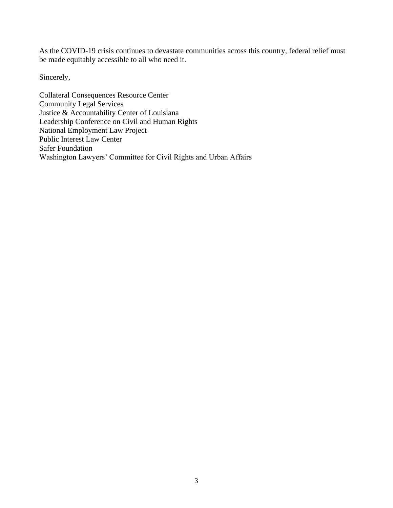As the COVID-19 crisis continues to devastate communities across this country, federal relief must be made equitably accessible to all who need it.

Sincerely,

Collateral Consequences Resource Center Community Legal Services Justice & Accountability Center of Louisiana Leadership Conference on Civil and Human Rights National Employment Law Project Public Interest Law Center Safer Foundation Washington Lawyers' Committee for Civil Rights and Urban Affairs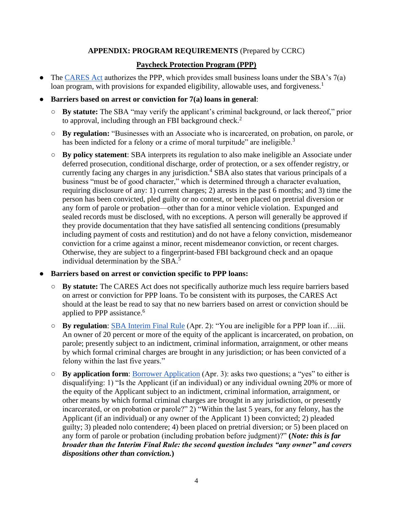# **APPENDIX: PROGRAM REQUIREMENTS** (Prepared by CCRC)

# **Paycheck Protection Program (PPP)**

- The [CARES Act](https://www.congress.gov/bill/116th-congress/senate-bill/3548/text#toc-id51F56132DC2E492895B4BA87DC307069) authorizes the PPP, which provides small business loans under the SBA's 7(a) loan program, with provisions for expanded eligibility, allowable uses, and forgiveness.<sup>1</sup>
- **Barriers based on arrest or conviction for 7(a) loans in general**:
	- **By statute:** The SBA "may verify the applicant's criminal background, or lack thereof," prior to approval, including through an FBI background check.<sup>2</sup>
	- **By regulation:** "Businesses with an Associate who is incarcerated, on probation, on parole, or has been indicted for a felony or a crime of moral turpitude" are ineligible.<sup>3</sup>
	- **By policy statement**: SBA interprets its regulation to also make ineligible an Associate under deferred prosecution, conditional discharge, order of protection, or a sex offender registry, or currently facing any charges in any jurisdiction.<sup>4</sup> SBA also states that various principals of a business "must be of good character," which is determined through a character evaluation, requiring disclosure of any: 1) current charges; 2) arrests in the past 6 months; and 3) time the person has been convicted, pled guilty or no contest, or been placed on pretrial diversion or any form of parole or probation—other than for a minor vehicle violation. Expunged and sealed records must be disclosed, with no exceptions. A person will generally be approved if they provide documentation that they have satisfied all sentencing conditions (presumably including payment of costs and restitution) and do not have a felony conviction, misdemeanor conviction for a crime against a minor, recent misdemeanor conviction, or recent charges. Otherwise, they are subject to a fingerprint-based FBI background check and an opaque individual determination by the SBA.<sup>5</sup>

#### ● **Barriers based on arrest or conviction specific to PPP loans:**

- **By statute:** The CARES Act does not specifically authorize much less require barriers based on arrest or conviction for PPP loans. To be consistent with its purposes, the CARES Act should at the least be read to say that no new barriers based on arrest or conviction should be applied to PPP assistance. 6
- **By regulation**: [SBA Interim Final Rule](https://content.sba.gov/sites/default/files/2020-04/PPP--IFRN%20FINAL.pdf) (Apr. 2): "You are ineligible for a PPP loan if….iii. An owner of 20 percent or more of the equity of the applicant is incarcerated, on probation, on parole; presently subject to an indictment, criminal information, arraignment, or other means by which formal criminal charges are brought in any jurisdiction; or has been convicted of a felony within the last five years."
- **By application form**: [Borrower Application](https://www.sba.gov/document/sba-form--paycheck-protection-program-borrower-application-form) (Apr. 3): asks two questions; a "yes" to either is disqualifying: 1) "Is the Applicant (if an individual) or any individual owning 20% or more of the equity of the Applicant subject to an indictment, criminal information, arraignment, or other means by which formal criminal charges are brought in any jurisdiction, or presently incarcerated, or on probation or parole?" 2) "Within the last 5 years, for any felony, has the Applicant (if an individual) or any owner of the Applicant 1) been convicted; 2) pleaded guilty; 3) pleaded nolo contendere; 4) been placed on pretrial diversion; or 5) been placed on any form of parole or probation (including probation before judgment)?" **(***Note: this is far broader than the Interim Final Rule: the second question includes "any owner" and covers dispositions other than conviction.***)**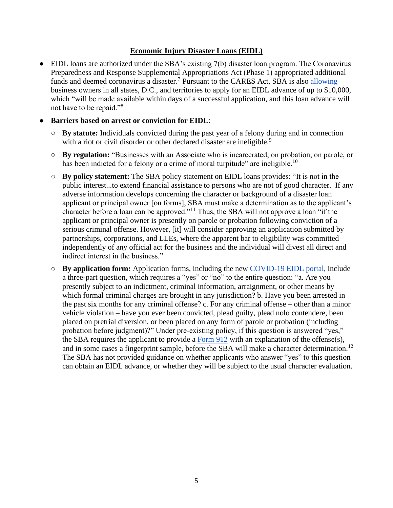# **Economic Injury Disaster Loans (EIDL)**

• EIDL loans are authorized under the SBA's existing 7(b) disaster loan program. The Coronavirus Preparedness and Response Supplemental Appropriations Act (Phase 1) appropriated additional funds and deemed coronavirus a disaster.<sup>7</sup> Pursuant to the CARES Act, SBA is also [allowing](https://www.sba.gov/funding-programs/loans/coronavirus-relief-options/economic-injury-disaster-loan-emergency-advance) business owners in all states, D.C., and territories to apply for an EIDL advance of up to \$10,000, which "will be made available within days of a successful application, and this loan advance will not have to be repaid."<sup>8</sup>

### **Barriers based on arrest or conviction for EIDL:**

- **By statute:** Individuals convicted during the past year of a felony during and in connection with a riot or civil disorder or other declared disaster are ineligible.<sup>9</sup>
- **By regulation:** "Businesses with an Associate who is incarcerated, on probation, on parole, or has been indicted for a felony or a crime of moral turpitude" are ineligible.<sup>10</sup>
- **By policy statement:** The SBA policy statement on EIDL loans provides: "It is not in the public interest...to extend financial assistance to persons who are not of good character. If any adverse information develops concerning the character or background of a disaster loan applicant or principal owner [on forms], SBA must make a determination as to the applicant's character before a loan can be approved."<sup>11</sup> Thus, the SBA will not approve a loan "if the applicant or principal owner is presently on parole or probation following conviction of a serious criminal offense. However, [it] will consider approving an application submitted by partnerships, corporations, and LLEs, where the apparent bar to eligibility was committed independently of any official act for the business and the individual will divest all direct and indirect interest in the business."
- **By application form:** Application forms, including the new [COVID-19 EIDL portal,](https://covid19relief.sba.gov/) include a three-part question, which requires a "yes" or "no" to the entire question: "a. Are you presently subject to an indictment, criminal information, arraignment, or other means by which formal criminal charges are brought in any jurisdiction? b. Have you been arrested in the past six months for any criminal offense? c. For any criminal offense – other than a minor vehicle violation – have you ever been convicted, plead guilty, plead nolo contendere, been placed on pretrial diversion, or been placed on any form of parole or probation (including probation before judgment)?" Under pre-existing policy, if this question is answered "yes," the SBA requires the applicant to provide a [Form 912](https://www.sba.gov/document/sba-form-912-statement-personal-history) with an explanation of the offense(s), and in some cases a fingerprint sample, before the SBA will make a character determination.<sup>12</sup> The SBA has not provided guidance on whether applicants who answer "yes" to this question can obtain an EIDL advance, or whether they will be subject to the usual character evaluation.